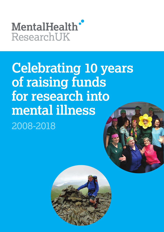# MentalHealth' ResearchUK

# **Celebrating 10 years of raising funds for research into mental illness**  2008-2018

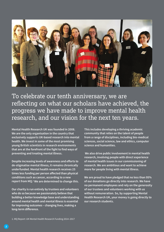

To celebrate our tenth anniversary, we are reflecting on what our scholars have achieved, the progress we have made to improve mental health research, and our vision for the next ten years.

**Mental Health Research UK was founded in 2008. We are the only organisation in the country that exclusively supports UK-based research into mental health. We invest in some of the most promising young British scientists in research environments that are at the forefront of the fight to find ways of preventing and treating mental illness.** 

**Despite increasing levels of awareness and efforts to de-stigmatise mental illness, it remains chronically underfunded. Mental health research receives 25 times less funding per person affected than physical conditions such as cancer, according to a new [report](https://www.mqmentalhealth.org/posts/uk-mental-health-research-funding) from MQ.1 We are determined to change this.** 

**Our charity is run entirely by trustees and volunteers who do so because we passionately believe that building a better knowledge base and understanding around mental health and mental illness is essential for improving outcomes – changing lives, making a long-term difference.** 

**This includes developing a thriving academic community that relies on the talent of people from a range of disciplines, including bio-medical sciences, social science, law and ethics, computer science and humanities.**

 **We also drive public involvement in mental health research, involving people with direct experience of mental health issues in our commissioning of research. We are ambitious and want to achieve more for people living with mental illness.**

**We are proud to have pledged that no less than 95% of our donations go directly into research. We have no permanent employees and rely on the generosity of our trustees and volunteers working with us without remuneration. So, by supporting Mental Health Research UK, your money is going directly to our research students.**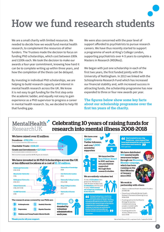

We are a small charity with limited resources. We needed to decide how we would fund mental health research, to complement the resources of other funders. The Trustees made the decision to focus on funding PhD scholarships, which cost between £80k and £100k each. We took the decision to make our awards a four-year commitment, knowing how hard it can be to complete writing up within three years, and how the completion of the thesis can be delayed.

By investing in individual PhD scholarships, we are helping to build research capacity and interest in mental health research across the UK. We know it is not easy to get funding for the first step onto the academic ladder, and equally not easy to gain experience as a PhD supervisor to progress a career in mental health research. So, we decided to help fill that funding gap.

We were also concerned with the poor level of support afforded to psychiatrists to pursue research careers. We have thus recently started to support a programme of work at King's College London, supporting psychiatrists over 4-5 years to complete a Masters in Research (MD(Res)).

We began with just one scholarship in each of the first two years, the first funded jointly with the University of Nottingham. In 2013 we linked with the Schizophrenia Research Fund which has increased our financial stability and, with increased success in attracting funds, the scholarship programme has now expanded to three or four new awards per year.

**The figures below show some key facts about our scholarship programme over the first ten years of the charity.** 

#### MentalHealth Celebrating 10 years of raising funds for research into mental illness 2008-2018 Research I IK





We have distributed 500 mental health awareness badges through our Blooming Monday campaign. which has been running on the third Monday of January  $since 2013.$ 

#### We work in partnership with others:

- · Alliance of Mental Health Research Funders 2008-2018
- Department of Health Mental Health Research Framework Steering Group 2016-2018
- Funding partner for the Priority Setting Partnershipchildren and young people's mental health research 2016-2018

Funding partner for Science Media Centre since 2016

Mental Health Research UK is a registered charity - England No. 1125538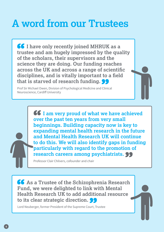### **A word from our Trustees**

*I* **have only recently joined MHRUK as a trustee and am hugely impressed by the quality of the scholars, their supervisors and the science they are doing. Our funding reaches across the UK and across a range of scientific disciplines, and is vitally important to a field that is starved of research funding.** 

Prof Sir Michael Owen, Division of Psychological Medicine and Clinical Neuroscience, Cardiff University

> **I** am very proud of what we have achieved **over the past ten years from very small beginnings. Building capacity now is key to expanding mental health research in the future and Mental Health Research UK will continue to do this. We will also identify gaps in funding particularly with regard to the promotion of research careers among psychiatrists.**

Professor Clair Chilvers, cofounder and chair

**As a Trustee of the Schizophrenia Research Fund, we were delighted to link with Mental Health Research UK to add additional resource to its clear strategic direction.** 

Lord Neuberger, former President of the Supreme Court, Trustee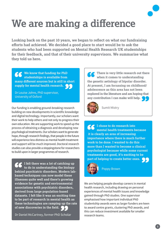

# **We are making a difference**

**Looking back on the past 10 years, we began to reflect on what our fundraising efforts had achieved. We decided a good place to start would be to ask the students who had been supported on Mental Health Research UK studentships for their feedback, and that of their university supervisors. We summarise what they told us here.** 

**We know that funding for PhD studentships is available from many different sources but is still in short supply for mental health research.** 

Dr Louise Johns, PhD supervisor, University of Oxford

Our funding is enabling ground-breaking research building on new developments in scientific knowledge and digital technology. Importantly, our scholars want their work to help others and not only to progress their own education. We are supporting work to speed up the process of obtaining a diagnosis and developing new psychological treatments. Our scholars want to generate hope, through research findings, that people in the future will experience less distress as mental health treatment and support will be much improved. Doctoral research studies can also provide a steppingstone for researchers to build upon in larger programmes of research.

**I felt there was a lot of catching up to do in understanding the biology behind psychiatric disorders. Modern labbased techniques can now model these illnesses quite well and there's growing evidence for genetic and environmental associations with psychiatric disorders, derived from large population-based datasets. I felt like it was an exciting time to be part of research in mental health as these technologies are ramping up the rate of new discoveries in the field.** 

Dr Daniel McCartney, former PhD Scholar

**There is very little research out there when it comes to understanding the genetic aetiology of bipolar disorder. At present, I am focussing on childhood/ adolescence as this area has not been explored in the literature and am hoping that any contribution I can make will help.** 



Sumit Mistry

**I chose to do research into mental health treatments because it is clearly an area of increasing importance where there is much further work to be done. I wanted to do this more than I wanted to become a clinical psychologist because while some current treatments are good, it's exciting to be part of helping to create better ones.** 



Poppy Brown

We are helping people develop careers in mental health research, including drawing on personal experiences of mental health issues and knowledge gained through PhD studies. One supervisor emphasised how important individual PhD studentship awards were as larger funders are keen to award centre grants, clustering PhD awards, and this can reduce investment available for smaller research teams.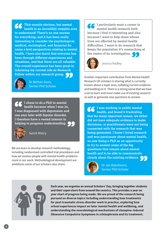**This sounds obvious, but mental health is an incredibly complex area to understand! There's no one answer for everything, and it has been really interesting to consider the psychological, medical, sociological, and financial (to name a few) perspectives relating to mental health. I have also learnt that everyone has been through different experiences and situations, and that these are all valuable. The overall experience has been great in informing my current role as Research Fellow within our research group.** 



Dr Bethan Davis, former PhD Scholar

**I chose to do a PhD in mental health because when I was 24, I was diagnosed with depression and one year later with bipolar disorder. I therefore have a vested interest in helping to progress understanding.** 



Sumit Mistry

We are keen to develop research methodology, including randomised controlled trial procedures and how we involve people with mental health problems more in our work. Methodological development are ambitions some of our scholars also share.

**I particularly want a career in mental health research both because I find it interesting and also because I want to help those whose lives are affected by mental health difficulties. I want to do research that keeps the population it's researching at the centre of its investigation.** 



Jessica Radley

Another important contribution from Mental Health Research UK scholars is sharing what is currently known about a topic area, collating current evidence and building on it. There is a strong sense that we have a lot to learn and must make use of existing research as well as generate new questions to answer.

**I was working in public mental health, and found it frustrating that for many important issues, we either did not have adequate evidence to make decisions, or practitioners were not being connected with the research that was being generated. I knew I loved research and was passionate about mental health, so saw doing a PhD as an opportunity to try to answer some of the big questions that remain about mental health and to be able to communicate clearly about the existing evidence.** 



Dr Jen Dykxhoorn, former PhD Scholar



**Each year, we organise an annual Scholars' Day, bringing together students and their supervisors from around the country. This provides a year on year chart of progress being made. We are proud of the research being pursued on diverse topics including understanding how treatments for post-traumatic stress disorder work in practice, exploring how school experiences impact on later mental health and wellbeing, and understanding the neurobiological mechanisms of clozapine-induced Obsessive Compulsive Symptoms in schizophrenia and its treatment.**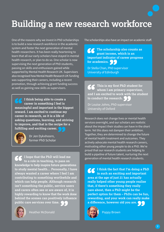### **Building a new research workforce**

One of the reasons why we invest in PhD scholarships is to build a new research workforce in the academic system and foster the next generation of mental health researchers. It has been really heartening to learn that all our early scholars have stayed in mental health research, or plan to do so. One scholar is now supervising the next generation of PhD students, passing on skills and enthusiasm gained while supported by Mental Health Research UK. Supervisors also recognised how Mental Health Research UK funding was supporting their careers, including a recent promotion, through achieving grant funding success as well as gaining new skills as supervisors.

**I think being able to create a career in something I feel is meaningful and important is the biggest reward. I am excited to continue my career in research, as it is a life of asking questions, learning, and striving to improve, and that is the recipe for a fulfilling and exciting career.** 



Dr Jen Dykxhoorn, former PhD Scholar

**I hope that the PhD will lead me to a role in teaching, to pass on knowledge to help inspire future generations to study mental health… Personally, I have always wanted a career where I feel I am contributing to something worthwhile and which can help people. Although research isn't something the public, service users and carers often see or are aware of, it is highly rewarding to know that the work done behind the scenes can positively influence public care services over time.** 



Heather McDonald

The scholarships also have an impact on academic staff.

**The scholarship also counts as grant income, which is an important indicator of career progress**  for academics.

Dr Stella Chan, PhD supervisor University of Edinburgh

**This is my first PhD student for whom I am primary supervisor, and I am excited to work with the student to conduct the research.** 

Dr Louise Johns, PhD supervisor University of Oxford

Research does not change lives or mental health services overnight, and our scholars are realistic about the impact their studies can have in the short term. Yet this does not dampen their ambition. Together, they are determined to change the future of mental health treatment and outcomes. They actively advocate mental health research careers, motivating other young people to do a PhD. We're proud that our research students are helping to build a pipeline of future talent, nurturing the next generation of mental health research students.

**I think the fact that I'm doing a PhD in such an exciting and important area at the age of just 21 has actually really helped other young people realise that, if there's something they really care about, then a PhD might be the perfect option for them – PhDs can be fun, rewarding, and your work can really make a difference, however old you are.** 



Poppy Brown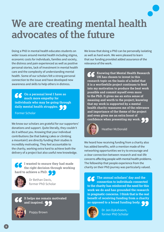

Doing a PhD in mental health educates students on wider issues around mental health including stigma, economic costs for individuals, families and society, the distress and pain experienced as well as positive personal stories, lack of investment in mental health care and the complexity of understanding mental health. Some of our scholars felt a strong personal connection to the issue and have developed new awareness and skills to help others in distress.

**On a personal level I have so much more empathy for individuals who may be going through daily mental health struggles.** 

Former Scholar

We know our scholars are grateful for our supporters' donations and support. Quite literally, they couldn't do it without you. Knowing that your individual contributions (be that baking cakes or climbing a mountain!) are directly funding their studies is incredibly motivating. They feel accountable to the charity, working extra hard to achieve both the delivery of a project but also useful new knowledge.

**I wanted to ensure they had made the right decision through working hard to achieve a PhD.** 



Dr Bethan Davis, former PhD Scholar

#### **It helps me remain motivated and inspired.**



Poppy Brown

We know that doing a PhD can be personally isolating as well as hard work. We were pleased to learn that our funding provided added assurance of the relevance of the work.

**Knowing that Mental Health Research UK has chosen to invest in this research topic on the basis of a belief that it is a worthwhile project continues to feed into my motivation to produce the best work possible and commit myself even more to the PhD. It gives me an extra sense of meaning and worth to the project; knowing that my work is supported by a mental health charity reassures me of the relevance and importance of the theme of the project and even gives me an extra boost of confidence when presenting my work.** 



Heather McDonald

We heard how receiving funding from a charity also has added benefits, with a mention made of the networking opportunities we try to encourage and a clear connection between research and real-life concerns affecting people with mental health problems. The fellowship that people experience from the charity on their PhD journey was particularly valued.

**The annual scholars' day and the connection to individuals connected to the charity has reinforced the need for this work we do and has grounded the research in pragmatic concerns. I think that is the real benefit of receiving funding from a charity as opposed to a broad funding body.** 



Dr Jen Dykxhoorn, former PhD Scholar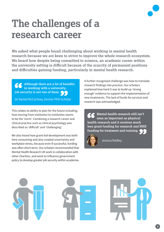

## **The challenges of a research career**

**We asked what people found challenging about working in mental health research because we are keen to strive to improve the whole research ecosystem. We heard how despite being committed to science, an academic career within the university setting is difficult because of the scarcity of permanent positions and difficulties gaining funding, particularly in mental health research.** 

**Although there are a lot of benefits in working with a university, job security is not one of them.** 

Dr Daniel McCartney, former PhD Scholar

This relates to ability to plan for the future including, how moving from institution to institution seems to be the 'norm'. Combining a research career and clinical practice such as clinical psychology was described as 'difficult' and 'challenging'.

We also heard how grant-bid development was both time consuming and also created uncertainty and workplace stress, because even if successful, funding was often short-term. Our scholars recommended that Mental Health Research UK work in collaboration with other charities, and work to influence government policy to develop greater job security within academia. A further recognised challenge was how to translate research findings into practice. Our scholars explained how hard it was to build up 'strong enough' evidence to support the implementation of new treatments. The lack of funds for services and research was acknowledged.

**Mental health research still isn't seen as important as physical health research and it receives much less grant funding for research and NHS funding for treatment and training.** 



Jessica Radley





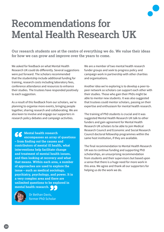### **Recommendations for Mental Health Research UK**

**Our research students are at the centre of everything we do. We value their ideas for how we can grow and improve over the years to come.** 

We asked for feedback on what Mental Health Research UK could do differently. Several suggestions were put forward. The scholars recommended that the studentship include additional funding for training, research costs including laboratory fees, conference attendance and resources to enhance their studies. The trustees have responded positively to each suggestion.

As a result of this feedback from our scholars, we're planning to organise more events, bringing people together, sharing research and collaborating. We are also keen to involve and engage our supporters in research policy debates and campaign activities.

**Mental health research encompasses an array of questions – from finding out the causes and contributors of mental ill health, what interventions help facilitate change and treatment of mental health issues, and then looking at recovery and what that means. Within each area, a number of approaches are used to explore the issue – such as medical sociology, psychiatry, psychology, and power. It is a very complex area and there are unlimited questions to be explored in mental health research.** 



Dr Bethan Davis, former PhD Scholar We are a member of two mental health research funder groups and seek to progress policy and campaign work in partnership with other charities and organisations.

Another idea we're exploring is to develop a peer-topeer network so scholars can support each other with their studies. Those who gain their PhDs might be able to mentor new students. It was also suggested that trustees could mentor scholars, passing on their expertise and enthusiasm for mental health research.

The training of PhD students is crucial and it was suggested Mental Health Research UK talk to other funders and gain agreement for Mental Health Research UK scholars to be able to join Medical Research Council and Economic and Social Research Council doctoral fellowship programmes within the same host institution, if they are available.

The final recommendation to Mental Health Research UK was to continue funding and supporting PhD scholarships, an unsurprising recommendation from students and their supervisors but based upon a sense that there is a huge need for more work in this area. We agree and thank all our supporters for helping us do the work we do.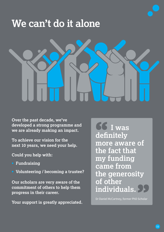## **We can't do it alone**



**Over the past decade, we've developed a strong programme and we are already making an impact.** 

**To achieve our vision for the next 10 years, we need your help.** 

**Could you help with:**

- **Fundraising**
- **Volunteering / becoming a trustee?**

**Our scholars are very aware of the commitment of others to help them progress in their career.** 

**Your support is greatly appreciated.** 

**I was definitely more aware of the fact that my funding came from the generosity of other individuals.** 

Dr Daniel McCartney, former PhD Scholar